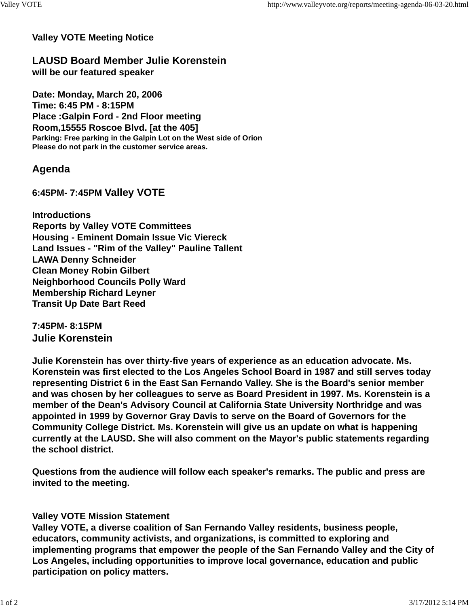#### **Valley VOTE Meeting Notice**

**LAUSD Board Member Julie Korenstein will be our featured speaker**

**Date: Monday, March 20, 2006 Time: 6:45 PM - 8:15PM Place :Galpin Ford - 2nd Floor meeting Room,15555 Roscoe Blvd. [at the 405] Parking: Free parking in the Galpin Lot on the West side of Orion Please do not park in the customer service areas.**

# **Agenda**

## **6:45PM- 7:45PM Valley VOTE**

**Introductions Reports by Valley VOTE Committees Housing - Eminent Domain Issue Vic Viereck Land Issues - "Rim of the Valley" Pauline Tallent LAWA Denny Schneider Clean Money Robin Gilbert Neighborhood Councils Polly Ward Membership Richard Leyner Transit Up Date Bart Reed**

**7:45PM- 8:15PM Julie Korenstein**

**Julie Korenstein has over thirty-five years of experience as an education advocate. Ms. Korenstein was first elected to the Los Angeles School Board in 1987 and still serves today representing District 6 in the East San Fernando Valley. She is the Board's senior member and was chosen by her colleagues to serve as Board President in 1997. Ms. Korenstein is a member of the Dean's Advisory Council at California State University Northridge and was appointed in 1999 by Governor Gray Davis to serve on the Board of Governors for the Community College District. Ms. Korenstein will give us an update on what is happening currently at the LAUSD. She will also comment on the Mayor's public statements regarding the school district.**

**Questions from the audience will follow each speaker's remarks. The public and press are invited to the meeting.**

### **Valley VOTE Mission Statement**

**Valley VOTE, a diverse coalition of San Fernando Valley residents, business people, educators, community activists, and organizations, is committed to exploring and implementing programs that empower the people of the San Fernando Valley and the City of Los Angeles, including opportunities to improve local governance, education and public participation on policy matters.**